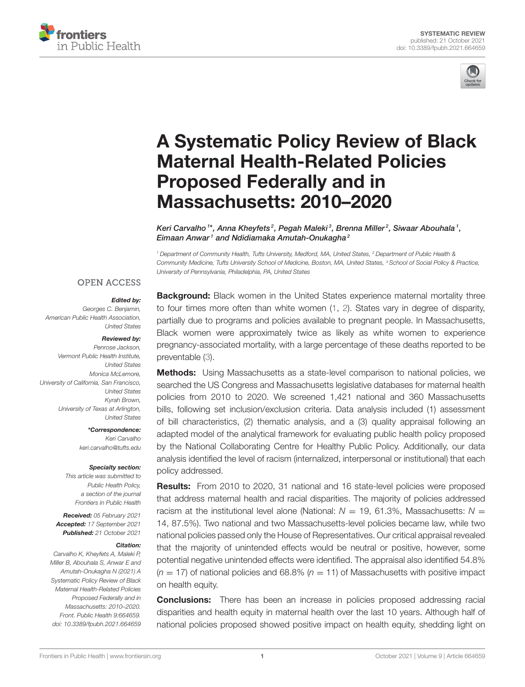



# [A Systematic Policy Review of Black](https://www.frontiersin.org/articles/10.3389/fpubh.2021.664659/full) Maternal Health-Related Policies Proposed Federally and in Massachusetts: 2010–2020

Keri Carvalho  $1*$ , Anna Kheyfets $^2$ , Pegah Maleki $^3$ , Brenna Miller $^2$ , Siwaar Abouhala  $^1$ , Eimaan Anwar<sup>1</sup> and Ndidiamaka Amutah-Onukagha<sup>2</sup>

*<sup>1</sup> Department of Community Health, Tufts University, Medford, MA, United States, <sup>2</sup> Department of Public Health & Community Medicine, Tufts University School of Medicine, Boston, MA, United States, <sup>3</sup> School of Social Policy & Practice, University of Pennsylvania, Philadelphia, PA, United States*

#### **OPEN ACCESS**

#### Edited by:

*Georges C. Benjamin, American Public Health Association, United States*

#### Reviewed by:

*Penrose Jackson, Vermont Public Health Institute, United States Monica McLemore, University of California, San Francisco, United States Kyrah Brown, University of Texas at Arlington, United States*

> \*Correspondence: *Keri Carvalho [keri.carvalho@tufts.edu](mailto:keri.carvalho@tufts.edu)*

#### Specialty section:

*This article was submitted to Public Health Policy, a section of the journal Frontiers in Public Health*

Received: *05 February 2021* Accepted: *17 September 2021* Published: *21 October 2021*

#### Citation:

*Carvalho K, Kheyfets A, Maleki P, Miller B, Abouhala S, Anwar E and Amutah-Onukagha N (2021) A Systematic Policy Review of Black Maternal Health-Related Policies Proposed Federally and in Massachusetts: 2010–2020. Front. Public Health 9:664659. doi: [10.3389/fpubh.2021.664659](https://doi.org/10.3389/fpubh.2021.664659)*

**Background:** Black women in the United States experience maternal mortality three to four times more often than white women [\(1,](#page-10-0) [2\)](#page-10-1). States vary in degree of disparity, partially due to programs and policies available to pregnant people. In Massachusetts, Black women were approximately twice as likely as white women to experience pregnancy-associated mortality, with a large percentage of these deaths reported to be preventable [\(3\)](#page-10-2).

**Methods:** Using Massachusetts as a state-level comparison to national policies, we searched the US Congress and Massachusetts legislative databases for maternal health policies from 2010 to 2020. We screened 1,421 national and 360 Massachusetts bills, following set inclusion/exclusion criteria. Data analysis included (1) assessment of bill characteristics, (2) thematic analysis, and a (3) quality appraisal following an adapted model of the analytical framework for evaluating public health policy proposed by the National Collaborating Centre for Healthy Public Policy. Additionally, our data analysis identified the level of racism (internalized, interpersonal or institutional) that each policy addressed.

Results: From 2010 to 2020, 31 national and 16 state-level policies were proposed that address maternal health and racial disparities. The majority of policies addressed racism at the institutional level alone (National:  $N = 19$ , 61.3%, Massachusetts:  $N =$ 14, 87.5%). Two national and two Massachusetts-level policies became law, while two national policies passed only the House of Representatives. Our critical appraisal revealed that the majority of unintended effects would be neutral or positive, however, some potential negative unintended effects were identified. The appraisal also identified 54.8%  $(n = 17)$  of national policies and 68.8%  $(n = 11)$  of Massachusetts with positive impact on health equity.

**Conclusions:** There has been an increase in policies proposed addressing racial disparities and health equity in maternal health over the last 10 years. Although half of national policies proposed showed positive impact on health equity, shedding light on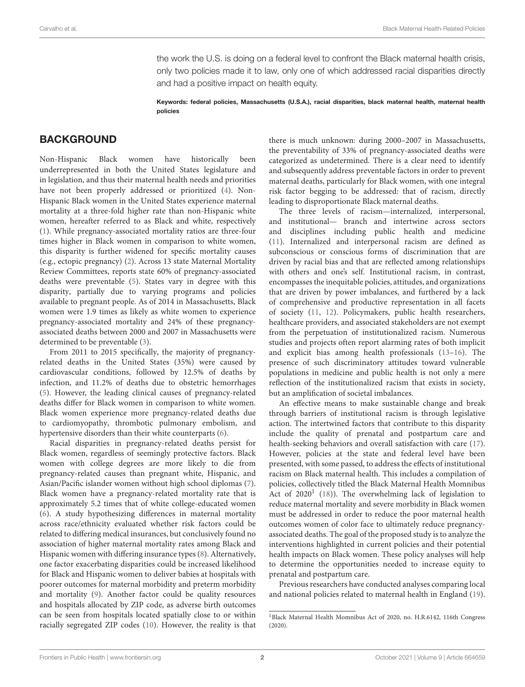the work the U.S. is doing on a federal level to confront the Black maternal health crisis, only two policies made it to law, only one of which addressed racial disparities directly and had a positive impact on health equity.

Keywords: federal policies, Massachusetts (U.S.A.), racial disparities, black maternal health, maternal health policies

### **BACKGROUND**

Non-Hispanic Black women have historically been underrepresented in both the United States legislature and in legislation, and thus their maternal health needs and priorities have not been properly addressed or prioritized [\(4\)](#page-11-0). Non-Hispanic Black women in the United States experience maternal mortality at a three-fold higher rate than non-Hispanic white women, hereafter referred to as Black and white, respectively [\(1\)](#page-10-0). While pregnancy-associated mortality ratios are three-four times higher in Black women in comparison to white women, this disparity is further widened for specific mortality causes (e.g., ectopic pregnancy) [\(2\)](#page-10-1). Across 13 state Maternal Mortality Review Committees, reports state 60% of pregnancy-associated deaths were preventable [\(5\)](#page-11-1). States vary in degree with this disparity, partially due to varying programs and policies available to pregnant people. As of 2014 in Massachusetts, Black women were 1.9 times as likely as white women to experience pregnancy-associated mortality and 24% of these pregnancyassociated deaths between 2000 and 2007 in Massachusetts were determined to be preventable [\(3\)](#page-10-2).

From 2011 to 2015 specifically, the majority of pregnancyrelated deaths in the United States (35%) were caused by cardiovascular conditions, followed by 12.5% of deaths by infection, and 11.2% of deaths due to obstetric hemorrhages [\(5\)](#page-11-1). However, the leading clinical causes of pregnancy-related deaths differ for Black women in comparison to white women. Black women experience more pregnancy-related deaths due to cardiomyopathy, thrombotic pulmonary embolism, and hypertensive disorders than their white counterparts [\(6\)](#page-11-2).

Racial disparities in pregnancy-related deaths persist for Black women, regardless of seemingly protective factors. Black women with college degrees are more likely to die from pregnancy-related causes than pregnant white, Hispanic, and Asian/Pacific islander women without high school diplomas [\(7\)](#page-11-3). Black women have a pregnancy-related mortality rate that is approximately 5.2 times that of white college-educated women [\(6\)](#page-11-2). A study hypothesizing differences in maternal mortality across race/ethnicity evaluated whether risk factors could be related to differing medical insurances, but conclusively found no association of higher maternal mortality rates among Black and Hispanic women with differing insurance types [\(8\)](#page-11-4). Alternatively, one factor exacerbating disparities could be increased likelihood for Black and Hispanic women to deliver babies at hospitals with poorer outcomes for maternal morbidity and preterm morbidity and mortality [\(9\)](#page-11-5). Another factor could be quality resources and hospitals allocated by ZIP code, as adverse birth outcomes can be seen from hospitals located spatially close to or within racially segregated ZIP codes [\(10\)](#page-11-6). However, the reality is that there is much unknown: during 2000–2007 in Massachusetts, the preventability of 33% of pregnancy-associated deaths were categorized as undetermined. There is a clear need to identify and subsequently address preventable factors in order to prevent maternal deaths, particularly for Black women, with one integral risk factor begging to be addressed: that of racism, directly leading to disproportionate Black maternal deaths.

The three levels of racism—internalized, interpersonal, and institutional— branch and intertwine across sectors and disciplines including public health and medicine [\(11\)](#page-11-7). Internalized and interpersonal racism are defined as subconscious or conscious forms of discrimination that are driven by racial bias and that are reflected among relationships with others and one's self. Institutional racism, in contrast, encompasses the inequitable policies, attitudes, and organizations that are driven by power imbalances, and furthered by a lack of comprehensive and productive representation in all facets of society [\(11,](#page-11-7) [12\)](#page-11-8). Policymakers, public health researchers, healthcare providers, and associated stakeholders are not exempt from the perpetuation of institutionalized racism. Numerous studies and projects often report alarming rates of both implicit and explicit bias among health professionals [\(13](#page-11-9)[–16\)](#page-11-10). The presence of such discriminatory attitudes toward vulnerable populations in medicine and public health is not only a mere reflection of the institutionalized racism that exists in society, but an amplification of societal imbalances.

An effective means to make sustainable change and break through barriers of institutional racism is through legislative action. The intertwined factors that contribute to this disparity include the quality of prenatal and postpartum care and health-seeking behaviors and overall satisfaction with care [\(17\)](#page-11-11). However, policies at the state and federal level have been presented, with some passed, to address the effects of institutional racism on Black maternal health. This includes a compilation of policies, collectively titled the Black Maternal Health Momnibus Act of  $2020<sup>1</sup>$  $2020<sup>1</sup>$  $2020<sup>1</sup>$  [\(18\)](#page-11-12)). The overwhelming lack of legislation to reduce maternal mortality and severe morbidity in Black women must be addressed in order to reduce the poor maternal health outcomes women of color face to ultimately reduce pregnancyassociated deaths. The goal of the proposed study is to analyze the interventions highlighted in current policies and their potential health impacts on Black women. These policy analyses will help to determine the opportunities needed to increase equity to prenatal and postpartum care.

Previous researchers have conducted analyses comparing local and national policies related to maternal health in England [\(19\)](#page-11-13).

<span id="page-1-0"></span><sup>1</sup>Black Maternal Health Momnibus Act of 2020, no. H.R.6142, 116th Congress (2020).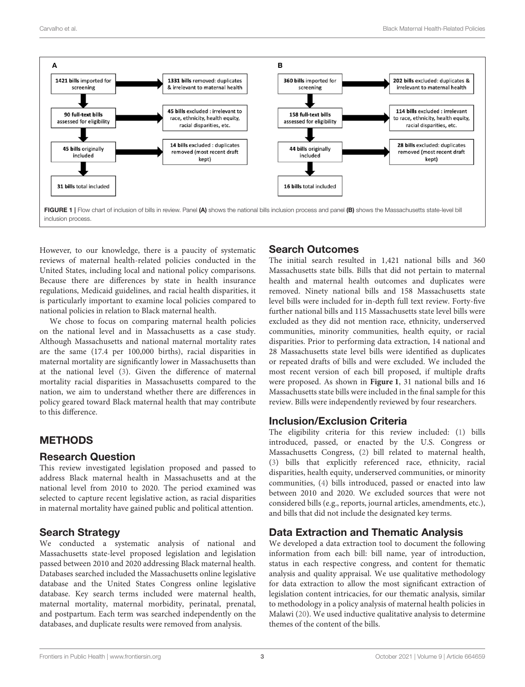

<span id="page-2-0"></span>However, to our knowledge, there is a paucity of systematic reviews of maternal health-related policies conducted in the United States, including local and national policy comparisons. Because there are differences by state in health insurance regulations, Medicaid guidelines, and racial health disparities, it is particularly important to examine local policies compared to national policies in relation to Black maternal health.

We chose to focus on comparing maternal health policies on the national level and in Massachusetts as a case study. Although Massachusetts and national maternal mortality rates are the same (17.4 per 100,000 births), racial disparities in maternal mortality are significantly lower in Massachusetts than at the national level [\(3\)](#page-10-2). Given the difference of maternal mortality racial disparities in Massachusetts compared to the nation, we aim to understand whether there are differences in policy geared toward Black maternal health that may contribute to this difference.

# METHODS

### Research Question

This review investigated legislation proposed and passed to address Black maternal health in Massachusetts and at the national level from 2010 to 2020. The period examined was selected to capture recent legislative action, as racial disparities in maternal mortality have gained public and political attention.

# Search Strategy

We conducted a systematic analysis of national and Massachusetts state-level proposed legislation and legislation passed between 2010 and 2020 addressing Black maternal health. Databases searched included the Massachusetts online legislative database and the United States Congress online legislative database. Key search terms included were maternal health, maternal mortality, maternal morbidity, perinatal, prenatal, and postpartum. Each term was searched independently on the databases, and duplicate results were removed from analysis.

# Search Outcomes

The initial search resulted in 1,421 national bills and 360 Massachusetts state bills. Bills that did not pertain to maternal health and maternal health outcomes and duplicates were removed. Ninety national bills and 158 Massachusetts state level bills were included for in-depth full text review. Forty-five further national bills and 115 Massachusetts state level bills were excluded as they did not mention race, ethnicity, underserved communities, minority communities, health equity, or racial disparities. Prior to performing data extraction, 14 national and 28 Massachusetts state level bills were identified as duplicates or repeated drafts of bills and were excluded. We included the most recent version of each bill proposed, if multiple drafts were proposed. As shown in **[Figure 1](#page-2-0)**, 31 national bills and 16 Massachusetts state bills were included in the final sample for this review. Bills were independently reviewed by four researchers.

# Inclusion/Exclusion Criteria

The eligibility criteria for this review included: [\(1\)](#page-10-0) bills introduced, passed, or enacted by the U.S. Congress or Massachusetts Congress, [\(2\)](#page-10-1) bill related to maternal health, [\(3\)](#page-10-2) bills that explicitly referenced race, ethnicity, racial disparities, health equity, underserved communities, or minority communities, [\(4\)](#page-11-0) bills introduced, passed or enacted into law between 2010 and 2020. We excluded sources that were not considered bills (e.g., reports, journal articles, amendments, etc.), and bills that did not include the designated key terms.

# Data Extraction and Thematic Analysis

We developed a data extraction tool to document the following information from each bill: bill name, year of introduction, status in each respective congress, and content for thematic analysis and quality appraisal. We use qualitative methodology for data extraction to allow the most significant extraction of legislation content intricacies, for our thematic analysis, similar to methodology in a policy analysis of maternal health policies in Malawi [\(20\)](#page-11-14). We used inductive qualitative analysis to determine themes of the content of the bills.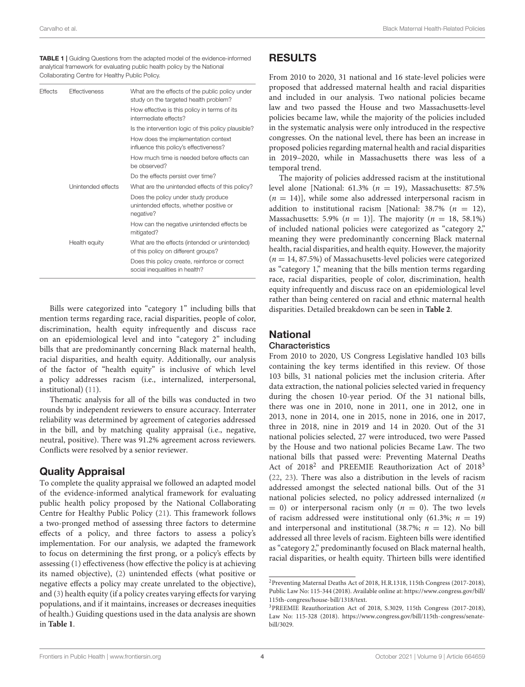<span id="page-3-0"></span>TABLE 1 | Guiding Questions from the adapted model of the evidence-informed analytical framework for evaluating public health policy by the National Collaborating Centre for Healthy Public Policy.

| <b>Effects</b> | <b>Effectiveness</b> | What are the effects of the public policy under<br>study on the targeted health problem?<br>How effective is this policy in terms of its<br>intermediate effects? |  |  |  |  |
|----------------|----------------------|-------------------------------------------------------------------------------------------------------------------------------------------------------------------|--|--|--|--|
|                |                      | Is the intervention logic of this policy plausible?                                                                                                               |  |  |  |  |
|                |                      | How does the implementation context<br>influence this policy's effectiveness?                                                                                     |  |  |  |  |
|                |                      | How much time is needed before effects can<br>be observed?                                                                                                        |  |  |  |  |
|                |                      | Do the effects persist over time?                                                                                                                                 |  |  |  |  |
|                | Unintended effects   | What are the unintended effects of this policy?                                                                                                                   |  |  |  |  |
|                |                      | Does the policy under study produce<br>unintended effects, whether positive or<br>negative?                                                                       |  |  |  |  |
|                |                      | How can the negative unintended effects be<br>mitigated?                                                                                                          |  |  |  |  |
|                | Health equity        | What are the effects (intended or unintended)<br>of this policy on different groups?                                                                              |  |  |  |  |
|                |                      | Does this policy create, reinforce or correct<br>social inequalities in health?                                                                                   |  |  |  |  |

Bills were categorized into "category 1" including bills that mention terms regarding race, racial disparities, people of color, discrimination, health equity infrequently and discuss race on an epidemiological level and into "category 2" including bills that are predominantly concerning Black maternal health, racial disparities, and health equity. Additionally, our analysis of the factor of "health equity" is inclusive of which level a policy addresses racism (i.e., internalized, interpersonal, institutional) [\(11\)](#page-11-7).

Thematic analysis for all of the bills was conducted in two rounds by independent reviewers to ensure accuracy. Interrater reliability was determined by agreement of categories addressed in the bill, and by matching quality appraisal (i.e., negative, neutral, positive). There was 91.2% agreement across reviewers. Conflicts were resolved by a senior reviewer.

### Quality Appraisal

To complete the quality appraisal we followed an adapted model of the evidence-informed analytical framework for evaluating public health policy proposed by the National Collaborating Centre for Healthy Public Policy [\(21\)](#page-11-15). This framework follows a two-pronged method of assessing three factors to determine effects of a policy, and three factors to assess a policy's implementation. For our analysis, we adapted the framework to focus on determining the first prong, or a policy's effects by assessing [\(1\)](#page-10-0) effectiveness (how effective the policy is at achieving its named objective), [\(2\)](#page-10-1) unintended effects (what positive or negative effects a policy may create unrelated to the objective), and [\(3\)](#page-10-2) health equity (if a policy creates varying effects for varying populations, and if it maintains, increases or decreases inequities of health.) Guiding questions used in the data analysis are shown in **[Table 1](#page-3-0)**.

# RESULTS

From 2010 to 2020, 31 national and 16 state-level policies were proposed that addressed maternal health and racial disparities and included in our analysis. Two national policies became law and two passed the House and two Massachusetts-level policies became law, while the majority of the policies included in the systematic analysis were only introduced in the respective congresses. On the national level, there has been an increase in proposed policies regarding maternal health and racial disparities in 2019–2020, while in Massachusetts there was less of a temporal trend.

The majority of policies addressed racism at the institutional level alone [National: 61.3%  $(n = 19)$ , Massachusetts: 87.5%  $(n = 14)$ , while some also addressed interpersonal racism in addition to institutional racism [National: 38.7% ( $n = 12$ ), Massachusetts: 5.9%  $(n = 1)$ ]. The majority  $(n = 18, 58.1\%)$ of included national policies were categorized as "category 2," meaning they were predominantly concerning Black maternal health, racial disparities, and health equity. However, the majority  $(n = 14, 87.5%)$  of Massachusetts-level policies were categorized as "category 1," meaning that the bills mention terms regarding race, racial disparities, people of color, discrimination, health equity infrequently and discuss race on an epidemiological level rather than being centered on racial and ethnic maternal health disparities. Detailed breakdown can be seen in **[Table 2](#page-4-0)**.

# **National**

### **Characteristics**

From 2010 to 2020, US Congress Legislative handled 103 bills containing the key terms identified in this review. Of those 103 bills, 31 national policies met the inclusion criteria. After data extraction, the national policies selected varied in frequency during the chosen 10-year period. Of the 31 national bills, there was one in 2010, none in 2011, one in 2012, one in 2013, none in 2014, one in 2015, none in 2016, one in 2017, three in 2018, nine in 2019 and 14 in 2020. Out of the 31 national policies selected, 27 were introduced, two were Passed by the House and two national policies Became Law. The two national bills that passed were: Preventing Maternal Deaths Act of [2](#page-3-1)018<sup>2</sup> and PREEMIE Reauthorization Act of 2018<sup>[3](#page-3-2)</sup> [\(22,](#page-11-16) [23\)](#page-11-17). There was also a distribution in the levels of racism addressed amongst the selected national bills. Out of the 31 national policies selected, no policy addressed internalized (n  $= 0$ ) or interpersonal racism only ( $n = 0$ ). The two levels of racism addressed were institutional only (61.3%;  $n = 19$ ) and interpersonal and institutional (38.7%;  $n = 12$ ). No bill addressed all three levels of racism. Eighteen bills were identified as "category 2," predominantly focused on Black maternal health, racial disparities, or health equity. Thirteen bills were identified

<span id="page-3-1"></span><sup>2</sup>Preventing Maternal Deaths Act of 2018, H.R.1318, 115th Congress (2017-2018), Public Law No: 115-344 (2018). Available online at: [https://www.congress.gov/bill/](https://www.congress.gov/bill/115th-congress/house-bill/1318/text) [115th-congress/house-bill/1318/text.](https://www.congress.gov/bill/115th-congress/house-bill/1318/text)

<span id="page-3-2"></span><sup>3</sup>PREEMIE Reauthorization Act of 2018, S.3029, 115th Congress (2017-2018), Law No: 115-328 (2018). [https://www.congress.gov/bill/115th-congress/senate](https://www.congress.gov/bill/115th-congress/senate-bill/3029)[bill/3029.](https://www.congress.gov/bill/115th-congress/senate-bill/3029)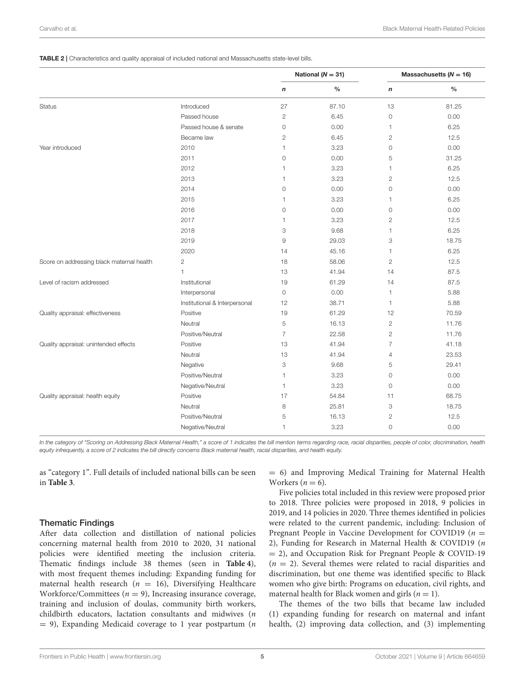#### <span id="page-4-0"></span>TABLE 2 | Characteristics and quality appraisal of included national and Massachusetts state-level bills.

|                                                             |                  | National ( $N = 31$ ) |                  | Massachusetts ( $N = 16$ ) |
|-------------------------------------------------------------|------------------|-----------------------|------------------|----------------------------|
|                                                             | $\boldsymbol{n}$ | $\frac{0}{0}$         | $\boldsymbol{n}$ | $\%$                       |
| Introduced<br><b>Status</b>                                 | 27               | 87.10                 | 13               | 81.25                      |
| Passed house                                                | $\overline{c}$   | 6.45                  | $\circ$          | 0.00                       |
| Passed house & senate                                       | $\circ$          | 0.00                  | $\mathbf{1}$     | 6.25                       |
| Became law                                                  | $\overline{2}$   | 6.45                  | $\overline{2}$   | 12.5                       |
| Year introduced<br>2010                                     | 1                | 3.23                  | $\circ$          | 0.00                       |
| 2011                                                        | 0                | 0.00                  | 5                | 31.25                      |
| 2012                                                        | 1                | 3.23                  | 1                | 6.25                       |
| 2013                                                        | 1                | 3.23                  | $\mathbf{2}$     | 12.5                       |
| 2014                                                        | 0                | 0.00                  | $\circ$          | 0.00                       |
| 2015                                                        | 1                | 3.23                  | 1                | 6.25                       |
| 2016                                                        | $\circ$          | 0.00                  | $\circ$          | 0.00                       |
| 2017                                                        | 1                | 3.23                  | $\overline{2}$   | 12.5                       |
| 2018                                                        | 3                | 9.68                  | $\mathbf{1}$     | 6.25                       |
| 2019                                                        | 9                | 29.03                 | 3                | 18.75                      |
| 2020                                                        | 14               | 45.16                 | 1                | 6.25                       |
| $\overline{c}$<br>Score on addressing black maternal health | 18               | 58.06                 | $\overline{2}$   | 12.5                       |
| $\mathbf{1}$                                                | 13               | 41.94                 | 14               | 87.5                       |
| Level of racism addressed<br>Institutional                  | 19               | 61.29                 | 14               | 87.5                       |
| Interpersonal                                               | $\circ$          | 0.00                  | $\mathbf{1}$     | 5.88                       |
| Institutional & Interpersonal                               | 12               | 38.71                 | $\mathbf{1}$     | 5.88                       |
| Quality appraisal: effectiveness<br>Positive                | 19               | 61.29                 | 12               | 70.59                      |
| Neutral                                                     | 5                | 16.13                 | $\overline{2}$   | 11.76                      |
| Positive/Neutral                                            | $\overline{7}$   | 22.58                 | $\overline{2}$   | 11.76                      |
| Quality appraisal: unintended effects<br>Positive           | 13               | 41.94                 | $\overline{7}$   | 41.18                      |
| Neutral                                                     | 13               | 41.94                 | $\overline{4}$   | 23.53                      |
| Negative                                                    | 3                | 9.68                  | 5                | 29.41                      |
| Positive/Neutral                                            | 1                | 3.23                  | $\circ$          | 0.00                       |
| Negative/Neutral                                            | $\mathbf{1}$     | 3.23                  | $\circ$          | 0.00                       |
| Quality appraisal: health equity<br>Positive                | 17               | 54.84                 | 11               | 68.75                      |
| Neutral                                                     | 8                | 25.81                 | 3                | 18.75                      |
| Positive/Neutral                                            | 5                | 16.13                 | $\mathbf{2}$     | 12.5                       |
| Negative/Neutral                                            | 1                | 3.23                  | $\circ$          | 0.00                       |

*In the category of "Scoring on Addressing Black Maternal Health," a score of 1 indicates the bill mention terms regarding race, racial disparities, people of color, discrimination, health equity infrequently, a score of 2 indicates the bill directly concerns Black maternal health, racial disparities, and health equity.*

as "category 1". Full details of included national bills can be seen in **[Table 3](#page-5-0)**.

#### Thematic Findings

After data collection and distillation of national policies concerning maternal health from 2010 to 2020, 31 national policies were identified meeting the inclusion criteria. Thematic findings include 38 themes (seen in **[Table 4](#page-6-0)**), with most frequent themes including: Expanding funding for maternal health research ( $n = 16$ ), Diversifying Healthcare Workforce/Committees ( $n = 9$ ), Increasing insurance coverage, training and inclusion of doulas, community birth workers, childbirth educators, lactation consultants and midwives (n  $= 9$ ), Expanding Medicaid coverage to 1 year postpartum (*n* 

= 6) and Improving Medical Training for Maternal Health Workers ( $n = 6$ ).

Five policies total included in this review were proposed prior to 2018. Three policies were proposed in 2018, 9 policies in 2019, and 14 policies in 2020. Three themes identified in policies were related to the current pandemic, including: Inclusion of Pregnant People in Vaccine Development for COVID19 ( $n =$ 2), Funding for Research in Maternal Health & COVID19 (n = 2), and Occupation Risk for Pregnant People & COVID-19  $(n = 2)$ . Several themes were related to racial disparities and discrimination, but one theme was identified specific to Black women who give birth: Programs on education, civil rights, and maternal health for Black women and girls  $(n = 1)$ .

The themes of the two bills that became law included (1) expanding funding for research on maternal and infant health, (2) improving data collection, and (3) implementing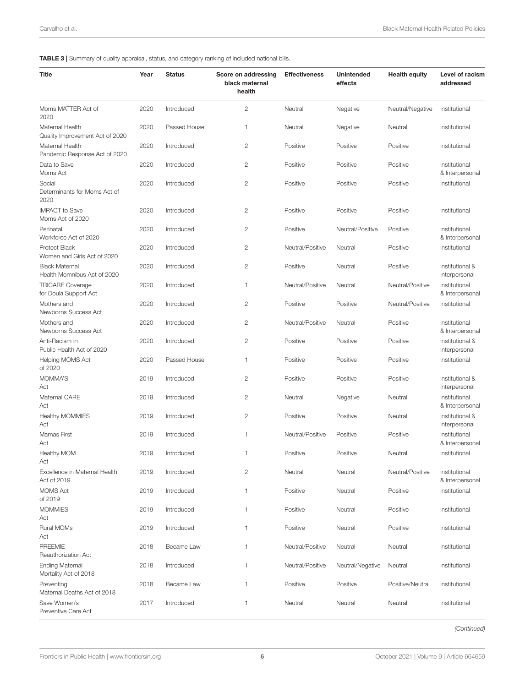<span id="page-5-0"></span>TABLE 3 | Summary of quality appraisal, status, and category ranking of included national bills.

| Title                                                | Year | <b>Status</b> | Score on addressing<br>black maternal<br>health | <b>Effectiveness</b> | <b>Unintended</b><br>effects | <b>Health equity</b> | Level of racism<br>addressed     |
|------------------------------------------------------|------|---------------|-------------------------------------------------|----------------------|------------------------------|----------------------|----------------------------------|
| Moms MATTER Act of<br>2020                           | 2020 | Introduced    | 2                                               | Neutral              | Negative                     | Neutral/Negative     | Institutional                    |
| Maternal Health<br>Quality Improvement Act of 2020   | 2020 | Passed House  | 1                                               | Neutral              | Negative                     | Neutral              | Institutional                    |
| Maternal Health<br>Pandemic Response Act of 2020     | 2020 | Introduced    | $\overline{c}$                                  | Positive             | Positive                     | Positive             | Institutional                    |
| Data to Save<br>Moms Act                             | 2020 | Introduced    | $\mathbf{2}$                                    | Positive             | Positive                     | Positive             | Institutional<br>& Interpersonal |
| Social<br>Determinants for Moms Act of<br>2020       | 2020 | Introduced    | $\overline{c}$                                  | Positive             | Positive                     | Positive             | Institutional                    |
| <b>IMPACT</b> to Save<br>Moms Act of 2020            | 2020 | Introduced    | 2                                               | Positive             | Positive                     | Positive             | Institutional                    |
| Perinatal<br>Workforce Act of 2020                   | 2020 | Introduced    | $\overline{c}$                                  | Positive             | Neutral/Positive             | Positive             | Institutional<br>& Interpersonal |
| Protect Black<br>Women and Girls Act of 2020         | 2020 | Introduced    | $\overline{c}$                                  | Neutral/Positive     | Neutral                      | Positive             | Institutional                    |
| <b>Black Maternal</b><br>Health Momnibus Act of 2020 | 2020 | Introduced    | 2                                               | Positive             | Neutral                      | Positive             | Institutional &<br>Interpersonal |
| <b>TRICARE Coverage</b><br>for Doula Support Act     | 2020 | Introduced    | 1                                               | Neutral/Positive     | Neutral                      | Neutral/Positive     | Institutional<br>& Interpersonal |
| Mothers and<br>Newborns Success Act                  | 2020 | Introduced    | $\overline{c}$                                  | Positive             | Positive                     | Neutral/Positive     | Institutional                    |
| Mothers and<br>Newborns Success Act                  | 2020 | Introduced    | $\mathbf{2}$                                    | Neutral/Positive     | Neutral                      | Positive             | Institutional<br>& Interpersonal |
| Anti-Racism in<br>Public Health Act of 2020          | 2020 | Introduced    | $\mathbf{2}$                                    | Positive             | Positive                     | Positive             | Institutional &<br>Interpersonal |
| <b>Helping MOMS Act</b><br>of 2020                   | 2020 | Passed House  | 1                                               | Positive             | Positive                     | Positive             | Institutional                    |
| MOMMA'S<br>Act                                       | 2019 | Introduced    | 2                                               | Positive             | Positive                     | Positive             | Institutional &<br>Interpersonal |
| Maternal CARE<br>Act                                 | 2019 | Introduced    | $\overline{c}$                                  | Neutral              | Negative                     | Neutral              | Institutional<br>& Interpersonal |
| <b>Healthy MOMMIES</b><br>Act                        | 2019 | Introduced    | $\mathbf{2}$                                    | Positive             | Positive                     | Neutral              | Institutional &<br>Interpersonal |
| Mamas First<br>Act                                   | 2019 | Introduced    | 1                                               | Neutral/Positive     | Positive                     | Positive             | Institutional<br>& Interpersonal |
| Healthy MOM<br>ACT                                   | 2019 | Introduced    | 1                                               | Positive             | Positive                     | Neutral              | Institutional                    |
| Excellence in Maternal Health<br>Act of 2019         | 2019 | Introduced    | $\mathbf{2}$                                    | Neutral              | Neutral                      | Neutral/Positive     | Institutional<br>& Interpersonal |
| <b>MOMS Act</b><br>of 2019                           | 2019 | Introduced    | 1                                               | Positive             | Neutral                      | Positive             | Institutional                    |
| <b>MOMMIES</b><br>Act                                | 2019 | Introduced    | 1                                               | Positive             | Neutral                      | Positive             | Institutional                    |
| Rural MOMs<br>Act                                    | 2019 | Introduced    | 1                                               | Positive             | Neutral                      | Positive             | Institutional                    |
| <b>PREEMIE</b><br>Reauthorization Act                | 2018 | Became Law    | 1                                               | Neutral/Positive     | Neutral                      | Neutral              | Institutional                    |
| <b>Ending Maternal</b><br>Mortality Act of 2018      | 2018 | Introduced    | 1                                               | Neutral/Positive     | Neutral/Negative             | Neutral              | Institutional                    |
| Preventing<br>Maternal Deaths Act of 2018            | 2018 | Became Law    | 1                                               | Positive             | Positive                     | Positive/Neutral     | Institutional                    |
| Save Women's<br>Preventive Care Act                  | 2017 | Introduced    | 1                                               | Neutral              | Neutral                      | Neutral              | Institutional                    |

*(Continued)*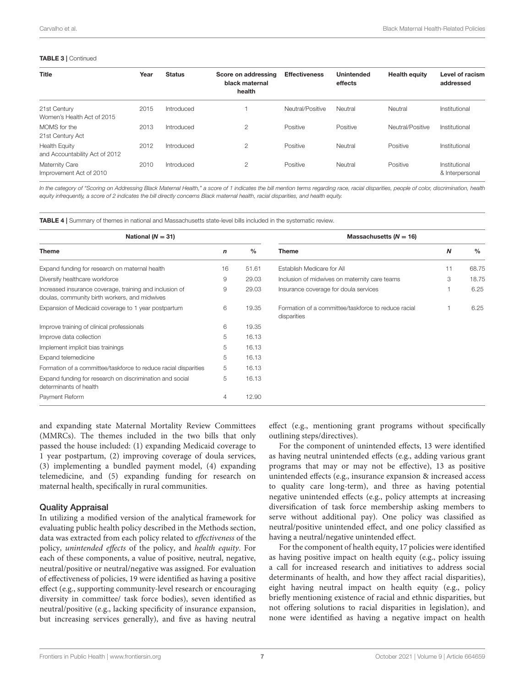#### TABLE 3 | Continued

| <b>Title</b>                                           | Year | <b>Status</b> | Score on addressing<br>black maternal<br>health | <b>Effectiveness</b> | <b>Unintended</b><br>effects | <b>Health equity</b> | Level of racism<br>addressed     |
|--------------------------------------------------------|------|---------------|-------------------------------------------------|----------------------|------------------------------|----------------------|----------------------------------|
| 21st Century<br>Women's Health Act of 2015             | 2015 | Introduced    |                                                 | Neutral/Positive     | Neutral                      | Neutral              | Institutional                    |
| MOMS for the<br>21st Century Act                       | 2013 | Introduced    | 2                                               | Positive             | Positive                     | Neutral/Positive     | Institutional                    |
| <b>Health Equity</b><br>and Accountability Act of 2012 | 2012 | Introduced    | $\mathfrak{p}$                                  | Positive             | Neutral                      | Positive             | Institutional                    |
| Maternity Care<br>Improvement Act of 2010              | 2010 | Introduced    | 2                                               | Positive             | Neutral                      | Positive             | Institutional<br>& Interpersonal |

*In the category of "Scoring on Addressing Black Maternal Health," a score of 1 indicates the bill mention terms regarding race, racial disparities, people of color, discrimination, health equity infrequently, a score of 2 indicates the bill directly concerns Black maternal health, racial disparities, and health equity.*

<span id="page-6-0"></span>TABLE 4 | Summary of themes in national and Massachusetts state-level bills included in the systematic review.

| National ( $N = 31$ )                                                                                    |    | Massachusetts ( $N = 16$ ) |                                                                    |                  |               |  |
|----------------------------------------------------------------------------------------------------------|----|----------------------------|--------------------------------------------------------------------|------------------|---------------|--|
| <b>Theme</b>                                                                                             |    | $\frac{0}{0}$              | <b>Theme</b>                                                       | $\boldsymbol{N}$ | $\frac{0}{0}$ |  |
| Expand funding for research on maternal health                                                           | 16 | 51.61                      | Establish Medicare for All                                         | 11               | 68.75         |  |
| Diversify healthcare workforce                                                                           | 9  | 29.03                      | Inclusion of midwives on maternity care teams                      | 3                | 18.75         |  |
| Increased insurance coverage, training and inclusion of<br>doulas, community birth workers, and midwives | 9  | 29.03                      | Insurance coverage for doula services                              |                  | 6.25          |  |
| Expansion of Medicaid coverage to 1 year postpartum                                                      | 6  | 19.35                      | Formation of a committee/taskforce to reduce racial<br>disparities |                  | 6.25          |  |
| Improve training of clinical professionals                                                               | 6  | 19.35                      |                                                                    |                  |               |  |
| Improve data collection                                                                                  | 5  | 16.13                      |                                                                    |                  |               |  |
| Implement implicit bias trainings                                                                        | 5  | 16.13                      |                                                                    |                  |               |  |
| Expand telemedicine                                                                                      | 5  | 16.13                      |                                                                    |                  |               |  |
| Formation of a committee/taskforce to reduce racial disparities                                          | 5  | 16.13                      |                                                                    |                  |               |  |
| Expand funding for research on discrimination and social<br>determinants of health                       | 5  | 16.13                      |                                                                    |                  |               |  |
| Payment Reform                                                                                           | 4  | 12.90                      |                                                                    |                  |               |  |

and expanding state Maternal Mortality Review Committees (MMRCs). The themes included in the two bills that only passed the house included: (1) expanding Medicaid coverage to 1 year postpartum, (2) improving coverage of doula services, (3) implementing a bundled payment model, (4) expanding telemedicine, and (5) expanding funding for research on maternal health, specifically in rural communities.

#### Quality Appraisal

In utilizing a modified version of the analytical framework for evaluating public health policy described in the Methods section, data was extracted from each policy related to effectiveness of the policy, unintended effects of the policy, and health equity. For each of these components, a value of positive, neutral, negative, neutral/positive or neutral/negative was assigned. For evaluation of effectiveness of policies, 19 were identified as having a positive effect (e.g., supporting community-level research or encouraging diversity in committee/ task force bodies), seven identified as neutral/positive (e.g., lacking specificity of insurance expansion, but increasing services generally), and five as having neutral effect (e.g., mentioning grant programs without specifically outlining steps/directives).

For the component of unintended effects, 13 were identified as having neutral unintended effects (e.g., adding various grant programs that may or may not be effective), 13 as positive unintended effects (e.g., insurance expansion & increased access to quality care long-term), and three as having potential negative unintended effects (e.g., policy attempts at increasing diversification of task force membership asking members to serve without additional pay). One policy was classified as neutral/positive unintended effect, and one policy classified as having a neutral/negative unintended effect.

For the component of health equity, 17 policies were identified as having positive impact on health equity (e.g., policy issuing a call for increased research and initiatives to address social determinants of health, and how they affect racial disparities), eight having neutral impact on health equity (e.g., policy briefly mentioning existence of racial and ethnic disparities, but not offering solutions to racial disparities in legislation), and none were identified as having a negative impact on health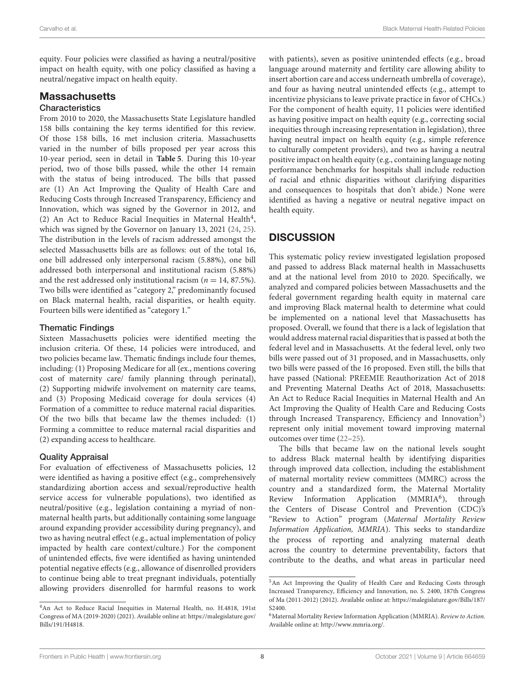equity. Four policies were classified as having a neutral/positive impact on health equity, with one policy classified as having a neutral/negative impact on health equity.

#### **Massachusetts Characteristics**

#### From 2010 to 2020, the Massachusetts State Legislature handled 158 bills containing the key terms identified for this review. Of those 158 bills, 16 met inclusion criteria. Massachusetts varied in the number of bills proposed per year across this 10-year period, seen in detail in **[Table 5](#page-8-0)**. During this 10-year period, two of those bills passed, while the other 14 remain with the status of being introduced. The bills that passed are (1) An Act Improving the Quality of Health Care and Reducing Costs through Increased Transparency, Efficiency and Innovation, which was signed by the Governor in 2012, and (2) An Act to Reduce Racial Inequities in Maternal Health<sup>[4](#page-7-0)</sup>, which was signed by the Governor on January 13, 2021 [\(24,](#page-11-18) [25\)](#page-11-19). The distribution in the levels of racism addressed amongst the selected Massachusetts bills are as follows: out of the total 16, one bill addressed only interpersonal racism (5.88%), one bill addressed both interpersonal and institutional racism (5.88%) and the rest addressed only institutional racism ( $n = 14, 87.5\%$ ). Two bills were identified as "category 2," predominantly focused on Black maternal health, racial disparities, or health equity. Fourteen bills were identified as "category 1."

### Thematic Findings

Sixteen Massachusetts policies were identified meeting the inclusion criteria. Of these, 14 policies were introduced, and two policies became law. Thematic findings include four themes, including: (1) Proposing Medicare for all (ex., mentions covering cost of maternity care/ family planning through perinatal), (2) Supporting midwife involvement on maternity care teams, and (3) Proposing Medicaid coverage for doula services (4) Formation of a committee to reduce maternal racial disparities. Of the two bills that became law the themes included: (1) Forming a committee to reduce maternal racial disparities and (2) expanding access to healthcare.

### Quality Appraisal

For evaluation of effectiveness of Massachusetts policies, 12 were identified as having a positive effect (e.g., comprehensively standardizing abortion access and sexual/reproductive health service access for vulnerable populations), two identified as neutral/positive (e.g., legislation containing a myriad of nonmaternal health parts, but additionally containing some language around expanding provider accessibility during pregnancy), and two as having neutral effect (e.g., actual implementation of policy impacted by health care context/culture.) For the component of unintended effects, five were identified as having unintended potential negative effects (e.g., allowance of disenrolled providers to continue being able to treat pregnant individuals, potentially allowing providers disenrolled for harmful reasons to work with patients), seven as positive unintended effects (e.g., broad language around maternity and fertility care allowing ability to insert abortion care and access underneath umbrella of coverage), and four as having neutral unintended effects (e.g., attempt to incentivize physicians to leave private practice in favor of CHCs.) For the component of health equity, 11 policies were identified as having positive impact on health equity (e.g., correcting social inequities through increasing representation in legislation), three having neutral impact on health equity (e.g., simple reference to culturally competent providers), and two as having a neutral positive impact on health equity (e.g., containing language noting performance benchmarks for hospitals shall include reduction of racial and ethnic disparities without clarifying disparities and consequences to hospitals that don't abide.) None were identified as having a negative or neutral negative impact on health equity.

# **DISCUSSION**

This systematic policy review investigated legislation proposed and passed to address Black maternal health in Massachusetts and at the national level from 2010 to 2020. Specifically, we analyzed and compared policies between Massachusetts and the federal government regarding health equity in maternal care and improving Black maternal health to determine what could be implemented on a national level that Massachusetts has proposed. Overall, we found that there is a lack of legislation that would address maternal racial disparities that is passed at both the federal level and in Massachusetts. At the federal level, only two bills were passed out of 31 proposed, and in Massachusetts, only two bills were passed of the 16 proposed. Even still, the bills that have passed (National: PREEMIE Reauthorization Act of 2018 and Preventing Maternal Deaths Act of 2018, Massachusetts: An Act to Reduce Racial Inequities in Maternal Health and An Act Improving the Quality of Health Care and Reducing Costs through Increased Transparency, Efficiency and Innovation<sup>[5](#page-7-1)</sup>) represent only initial movement toward improving maternal outcomes over time [\(22–](#page-11-16)[25\)](#page-11-19).

The bills that became law on the national levels sought to address Black maternal health by identifying disparities through improved data collection, including the establishment of maternal mortality review committees (MMRC) across the country and a standardized form, the Maternal Mortality Review Information Application (MMRIA<sup>[6](#page-7-2)</sup>), through the Centers of Disease Control and Prevention (CDC)'s "Review to Action" program (Maternal Mortality Review Information Application, MMRIA). This seeks to standardize the process of reporting and analyzing maternal death across the country to determine preventability, factors that contribute to the deaths, and what areas in particular need

<span id="page-7-0"></span><sup>4</sup>An Act to Reduce Racial Inequities in Maternal Health, no. H.4818, 191st Congress of MA (2019-2020) (2021). Available online at: [https://malegislature.gov/](https://malegislature.gov/Bills/191/H4818) [Bills/191/H4818.](https://malegislature.gov/Bills/191/H4818)

<span id="page-7-1"></span><sup>5</sup>An Act Improving the Quality of Health Care and Reducing Costs through Increased Transparency, Efficiency and Innovation, no. S. 2400, 187th Congress of Ma (2011-2012) (2012). Available online at: [https://malegislature.gov/Bills/187/](https://malegislature.gov/Bills/187/S2400) [S2400.](https://malegislature.gov/Bills/187/S2400)

<span id="page-7-2"></span><sup>&</sup>lt;sup>6</sup> Maternal Mortality Review Information Application (MMRIA). Review to Action. Available online at: [http://www.mmria.org/.](http://www.mmria.org/)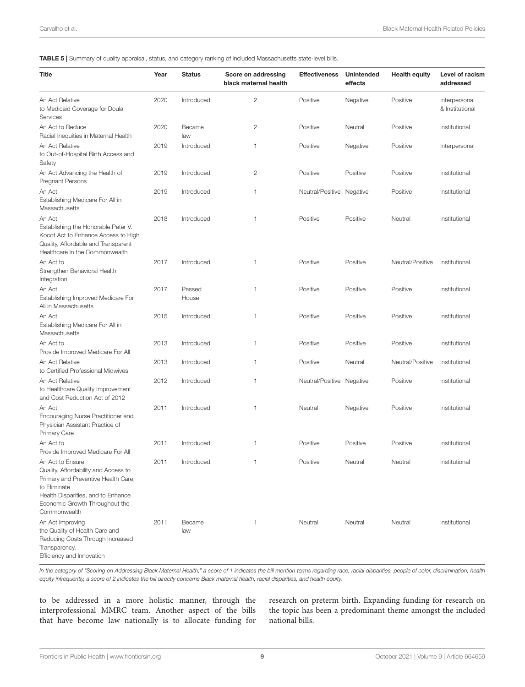#### <span id="page-8-0"></span>TABLE 5 | Summary of quality appraisal, status, and category ranking of included Massachusetts state-level bills.

| Title                                                                                                                                                                                                   | Year | <b>Status</b>   | Score on addressing<br>black maternal health | <b>Effectiveness</b>      | Unintended<br>effects | <b>Health equity</b> | Level of racism<br>addressed     |
|---------------------------------------------------------------------------------------------------------------------------------------------------------------------------------------------------------|------|-----------------|----------------------------------------------|---------------------------|-----------------------|----------------------|----------------------------------|
| An Act Relative<br>to Medicaid Coverage for Doula<br>Services                                                                                                                                           | 2020 | Introduced      | $\overline{c}$                               | Positive                  | Negative              | Positive             | Interpersonal<br>& Institutional |
| An Act to Reduce<br>Racial Inequities in Maternal Health                                                                                                                                                | 2020 | Became<br>law   | $\mathbf{2}$                                 | Positive                  | Neutral               | Positive             | Institutional                    |
| An Act Relative<br>to Out-of-Hospital Birth Access and<br>Safety                                                                                                                                        | 2019 | Introduced      | 1                                            | Positive                  | Negative              | Positive             | Interpersonal                    |
| An Act Advancing the Health of<br>Pregnant Persons                                                                                                                                                      | 2019 | Introduced      | 2                                            | Positive                  | Positive              | Positive             | Institutional                    |
| An Act<br>Establishing Medicare For All in<br>Massachusetts                                                                                                                                             | 2019 | Introduced      | 1                                            | Neutral/Positive Negative |                       | Positive             | Institutional                    |
| An Act<br>Establishing the Honorable Peter V.<br>Kocot Act to Enhance Access to High<br>Quality, Affordable and Transparent<br>Healthcare in the Commonwealth                                           | 2018 | Introduced      | $\mathbf{1}$                                 | Positive                  | Positive              | Neutral              | Institutional                    |
| An Act to<br>Strengthen Behavioral Health<br>Integration                                                                                                                                                | 2017 | Introduced      | 1                                            | Positive                  | Positive              | Neutral/Positive     | Institutional                    |
| An Act<br>Establishing Improved Medicare For<br>All in Massachusetts                                                                                                                                    | 2017 | Passed<br>House | 1                                            | Positive                  | Positive              | Positive             | Institutional                    |
| An Act<br>Establishing Medicare For All in<br>Massachusetts                                                                                                                                             | 2015 | Introduced      | $\mathbf{1}$                                 | Positive                  | Positive              | Positive             | Institutional                    |
| An Act to<br>Provide Improved Medicare For All                                                                                                                                                          | 2013 | Introduced      | $\mathbf{1}$                                 | Positive                  | Positive              | Positive             | Institutional                    |
| An Act Relative<br>to Certified Professional Midwives                                                                                                                                                   | 2013 | Introduced      | 1                                            | Positive                  | Neutral               | Neutral/Positive     | Institutional                    |
| An Act Relative<br>to Healthcare Quality Improvement<br>and Cost Reduction Act of 2012                                                                                                                  | 2012 | Introduced      | 1                                            | Neutral/Positive Negative |                       | Positive             | Institutional                    |
| An Act<br>Encouraging Nurse Practitioner and<br>Physician Assistant Practice of<br>Primary Care                                                                                                         | 2011 | Introduced      | $\mathbf{1}$                                 | Neutral                   | Negative              | Positive             | Institutional                    |
| An Act to<br>Provide Improved Medicare For All                                                                                                                                                          | 2011 | Introduced      | 1                                            | Positive                  | Positive              | Positive             | Institutional                    |
| An Act to Ensure<br>Quality, Affordability and Access to<br>Primary and Preventive Health Care,<br>to Eliminate<br>Health Disparities, and to Enhance<br>Economic Growth Throughout the<br>Commonwealth | 2011 | Introduced      |                                              | Positive                  | Neutral               | Neutral              | Institutional                    |
| An Act Improving<br>the Quality of Health Care and<br>Reducing Costs Through Increased<br>Transparency,<br>Efficiency and Innovation                                                                    | 2011 | Became<br>law   | $\mathbf{1}$                                 | Neutral                   | Neutral               | Neutral              | Institutional                    |

*In the category of "Scoring on Addressing Black Maternal Health," a score of 1 indicates the bill mention terms regarding race, racial disparities, people of color, discrimination, health equity infrequently, a score of 2 indicates the bill directly concerns Black maternal health, racial disparities, and health equity.*

to be addressed in a more holistic manner, through the interprofessional MMRC team. Another aspect of the bills that have become law nationally is to allocate funding for

research on preterm birth. Expanding funding for research on the topic has been a predominant theme amongst the included national bills.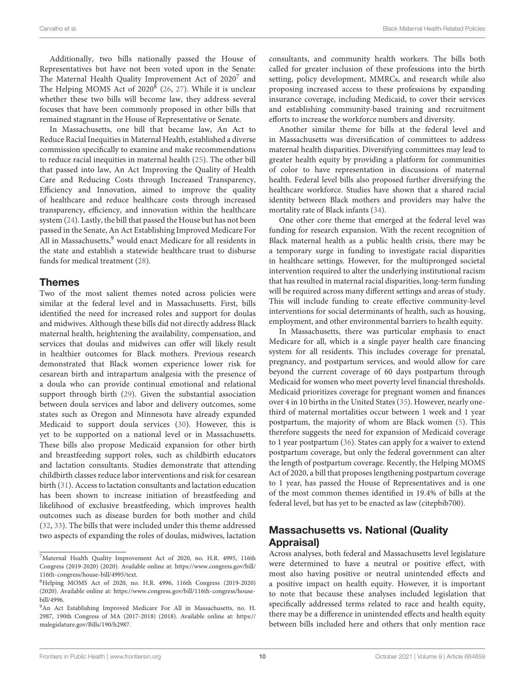Additionally, two bills nationally passed the House of Representatives but have not been voted upon in the Senate: The Maternal Health Quality Improvement Act of 2020<sup>[7](#page-9-0)</sup> and The Helping MOMS Act of 2020 $^8$  $^8$  [\(26,](#page-11-20) [27\)](#page-11-21). While it is unclear whether these two bills will become law, they address several focuses that have been commonly proposed in other bills that remained stagnant in the House of Representative or Senate.

In Massachusetts, one bill that became law, An Act to Reduce Racial Inequities in Maternal Health, established a diverse commission specifically to examine and make recommendations to reduce racial inequities in maternal health [\(25\)](#page-11-19). The other bill that passed into law, An Act Improving the Quality of Health Care and Reducing Costs through Increased Transparency, Efficiency and Innovation, aimed to improve the quality of healthcare and reduce healthcare costs through increased transparency, efficiency, and innovation within the healthcare system [\(24\)](#page-11-18). Lastly, the bill that passed the House but has not been passed in the Senate, An Act Establishing Improved Medicare For All in Massachusetts,<sup>[9](#page-9-2)</sup> would enact Medicare for all residents in the state and establish a statewide healthcare trust to disburse funds for medical treatment [\(28\)](#page-11-22).

### Themes

Two of the most salient themes noted across policies were similar at the federal level and in Massachusetts. First, bills identified the need for increased roles and support for doulas and midwives. Although these bills did not directly address Black maternal health, heightening the availability, compensation, and services that doulas and midwives can offer will likely result in healthier outcomes for Black mothers. Previous research demonstrated that Black women experience lower risk for cesarean birth and intrapartum analgesia with the presence of a doula who can provide continual emotional and relational support through birth [\(29\)](#page-11-23). Given the substantial association between doula services and labor and delivery outcomes, some states such as Oregon and Minnesota have already expanded Medicaid to support doula services [\(30\)](#page-11-24). However, this is yet to be supported on a national level or in Massachusetts. These bills also propose Medicaid expansion for other birth and breastfeeding support roles, such as childbirth educators and lactation consultants. Studies demonstrate that attending childbirth classes reduce labor interventions and risk for cesarean birth [\(31\)](#page-11-25). Access to lactation consultants and lactation education has been shown to increase initiation of breastfeeding and likelihood of exclusive breastfeeding, which improves health outcomes such as disease burden for both mother and child [\(32,](#page-11-26) [33\)](#page-11-27). The bills that were included under this theme addressed two aspects of expanding the roles of doulas, midwives, lactation consultants, and community health workers. The bills both called for greater inclusion of these professions into the birth setting, policy development, MMRCs, and research while also proposing increased access to these professions by expanding insurance coverage, including Medicaid, to cover their services and establishing community-based training and recruitment efforts to increase the workforce numbers and diversity.

Another similar theme for bills at the federal level and in Massachusetts was diversification of committees to address maternal health disparities. Diversifying committees may lead to greater health equity by providing a platform for communities of color to have representation in discussions of maternal health. Federal level bills also proposed further diversifying the healthcare workforce. Studies have shown that a shared racial identity between Black mothers and providers may halve the mortality rate of Black infants [\(34\)](#page-11-28).

One other core theme that emerged at the federal level was funding for research expansion. With the recent recognition of Black maternal health as a public health crisis, there may be a temporary surge in funding to investigate racial disparities in healthcare settings. However, for the multipronged societal intervention required to alter the underlying institutional racism that has resulted in maternal racial disparities, long-term funding will be required across many different settings and areas of study. This will include funding to create effective community-level interventions for social determinants of health, such as housing, employment, and other environmental barriers to health equity.

In Massachusetts, there was particular emphasis to enact Medicare for all, which is a single payer health care financing system for all residents. This includes coverage for prenatal, pregnancy, and postpartum services, and would allow for care beyond the current coverage of 60 days postpartum through Medicaid for women who meet poverty level financial thresholds. Medicaid prioritizes coverage for pregnant women and finances over 4 in 10 births in the United States [\(35\)](#page-11-29). However, nearly onethird of maternal mortalities occur between 1 week and 1 year postpartum, the majority of whom are Black women [\(5\)](#page-11-1). This therefore suggests the need for expansion of Medicaid coverage to 1 year postpartum [\(36\)](#page-11-30). States can apply for a waiver to extend postpartum coverage, but only the federal government can alter the length of postpartum coverage. Recently, the Helping MOMS Act of 2020, a bill that proposes lengthening postpartum coverage to 1 year, has passed the House of Representatives and is one of the most common themes identified in 19.4% of bills at the federal level, but has yet to be enacted as law (citepbib700).

### Massachusetts vs. National (Quality Appraisal)

Across analyses, both federal and Massachusetts level legislature were determined to have a neutral or positive effect, with most also having positive or neutral unintended effects and a positive impact on health equity. However, it is important to note that because these analyses included legislation that specifically addressed terms related to race and health equity, there may be a difference in unintended effects and health equity between bills included here and others that only mention race

<span id="page-9-0"></span><sup>7</sup>Maternal Health Quality Improvement Act of 2020, no. H.R. 4995, 116th Congress (2019-2020) (2020). Available online at: [https://www.congress.gov/bill/](https://www.congress.gov/bill/116th-congress/house-bill/4995/text) [116th-congress/house-bill/4995/text.](https://www.congress.gov/bill/116th-congress/house-bill/4995/text)

<span id="page-9-1"></span><sup>8</sup>Helping MOMS Act of 2020, no. H.R. 4996, 116th Congress (2019-2020) (2020). Available online at: [https://www.congress.gov/bill/116th-congress/house](https://www.congress.gov/bill/116th-congress/house-bill/4996)[bill/4996.](https://www.congress.gov/bill/116th-congress/house-bill/4996)

<span id="page-9-2"></span><sup>9</sup>An Act Establishing Improved Medicare For All in Massachusetts, no. H. 2987, 190th Congress of MA (2017-2018) (2018). Available online at: [https://](https://malegislature.gov/Bills/190/h2987) [malegislature.gov/Bills/190/h2987.](https://malegislature.gov/Bills/190/h2987)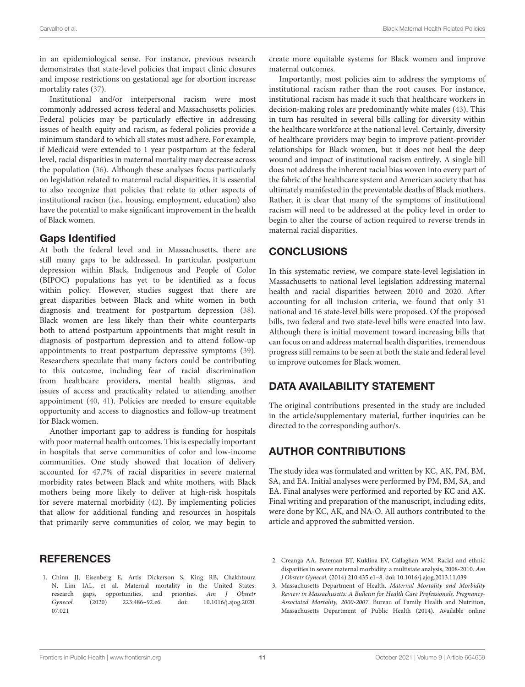in an epidemiological sense. For instance, previous research demonstrates that state-level policies that impact clinic closures and impose restrictions on gestational age for abortion increase mortality rates [\(37\)](#page-11-31).

Institutional and/or interpersonal racism were most commonly addressed across federal and Massachusetts policies. Federal policies may be particularly effective in addressing issues of health equity and racism, as federal policies provide a minimum standard to which all states must adhere. For example, if Medicaid were extended to 1 year postpartum at the federal level, racial disparities in maternal mortality may decrease across the population [\(36\)](#page-11-30). Although these analyses focus particularly on legislation related to maternal racial disparities, it is essential to also recognize that policies that relate to other aspects of institutional racism (i.e., housing, employment, education) also have the potential to make significant improvement in the health of Black women.

### Gaps Identified

At both the federal level and in Massachusetts, there are still many gaps to be addressed. In particular, postpartum depression within Black, Indigenous and People of Color (BIPOC) populations has yet to be identified as a focus within policy. However, studies suggest that there are great disparities between Black and white women in both diagnosis and treatment for postpartum depression [\(38\)](#page-11-32). Black women are less likely than their white counterparts both to attend postpartum appointments that might result in diagnosis of postpartum depression and to attend follow-up appointments to treat postpartum depressive symptoms [\(39\)](#page-11-33). Researchers speculate that many factors could be contributing to this outcome, including fear of racial discrimination from healthcare providers, mental health stigmas, and issues of access and practicality related to attending another appointment [\(40,](#page-11-34) [41\)](#page-12-0). Policies are needed to ensure equitable opportunity and access to diagnostics and follow-up treatment for Black women.

Another important gap to address is funding for hospitals with poor maternal health outcomes. This is especially important in hospitals that serve communities of color and low-income communities. One study showed that location of delivery accounted for 47.7% of racial disparities in severe maternal morbidity rates between Black and white mothers, with Black mothers being more likely to deliver at high-risk hospitals for severe maternal morbidity [\(42\)](#page-12-1). By implementing policies that allow for additional funding and resources in hospitals that primarily serve communities of color, we may begin to

### **REFERENCES**

<span id="page-10-0"></span>1. Chinn JJ, Eisenberg E, Artis Dickerson S, King RB, Chakhtoura N, Lim IAL, et al. Maternal mortality in the United States: research gaps, opportunities, and priorities. Am J Obstetr Gynecol. [\(2020\) 223:486–92.e6. doi: 10.1016/j.ajog.2020.](https://doi.org/10.1016/j.ajog.2020.07.021) 07.021

create more equitable systems for Black women and improve maternal outcomes.

Importantly, most policies aim to address the symptoms of institutional racism rather than the root causes. For instance, institutional racism has made it such that healthcare workers in decision-making roles are predominantly white males [\(43\)](#page-12-2). This in turn has resulted in several bills calling for diversity within the healthcare workforce at the national level. Certainly, diversity of healthcare providers may begin to improve patient-provider relationships for Black women, but it does not heal the deep wound and impact of institutional racism entirely. A single bill does not address the inherent racial bias woven into every part of the fabric of the healthcare system and American society that has ultimately manifested in the preventable deaths of Black mothers. Rather, it is clear that many of the symptoms of institutional racism will need to be addressed at the policy level in order to begin to alter the course of action required to reverse trends in maternal racial disparities.

### **CONCLUSIONS**

In this systematic review, we compare state-level legislation in Massachusetts to national level legislation addressing maternal health and racial disparities between 2010 and 2020. After accounting for all inclusion criteria, we found that only 31 national and 16 state-level bills were proposed. Of the proposed bills, two federal and two state-level bills were enacted into law. Although there is initial movement toward increasing bills that can focus on and address maternal health disparities, tremendous progress still remains to be seen at both the state and federal level to improve outcomes for Black women.

# DATA AVAILABILITY STATEMENT

The original contributions presented in the study are included in the article/supplementary material, further inquiries can be directed to the corresponding author/s.

# AUTHOR CONTRIBUTIONS

The study idea was formulated and written by KC, AK, PM, BM, SA, and EA. Initial analyses were performed by PM, BM, SA, and EA. Final analyses were performed and reported by KC and AK. Final writing and preparation of the manuscript, including edits, were done by KC, AK, and NA-O. All authors contributed to the article and approved the submitted version.

- <span id="page-10-1"></span>2. Creanga AA, Bateman BT, Kuklina EV, Callaghan WM. Racial and ethnic disparities in severe maternal morbidity: a multistate analysis, 2008-2010. Am J Obstetr Gynecol. (2014) 210:435.e1–8. doi: [10.1016/j.ajog.2013.11.039](https://doi.org/10.1016/j.ajog.2013.11.039)
- <span id="page-10-2"></span>3. Massachusetts Department of Health. Maternal Mortality and Morbidity Review in Massachusetts: A Bulletin for Health Care Professionals, Pregnancy-Associated Mortality, 2000-2007. Bureau of Family Health and Nutrition, Massachusetts Department of Public Health (2014). Available online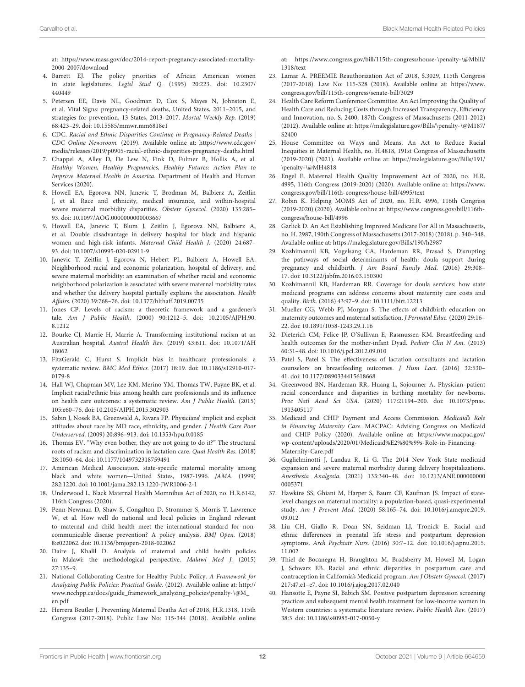at: [https://www.mass.gov/doc/2014-report-pregnancy-associated-mortality-](https://www.mass.gov/doc/2014-report-pregnancy-associated-mortality-2000-2007/download)[2000-2007/download](https://www.mass.gov/doc/2014-report-pregnancy-associated-mortality-2000-2007/download)

- <span id="page-11-0"></span>4. Barrett EJ. The policy priorities of African American women in state legislatures. Legisl Stud Q. [\(1995\) 20:223. doi: 10.2307/](https://doi.org/10.2307/440449) 440449
- <span id="page-11-1"></span>5. Petersen EE, Davis NL, Goodman D, Cox S, Mayes N, Johnston E, et al. Vital Signs: pregnancy-related deaths, United States, 2011–2015, and strategies for prevention, 13 States, 2013–2017. Mortal Weekly Rep. (2019) 68:423–29. doi: [10.15585/mmwr.mm6818e1](https://doi.org/10.15585/mmwr.mm6818e1)
- <span id="page-11-2"></span>6. CDC. Racial and Ethnic Disparities Continue in Pregnancy-Related Deaths | CDC Online Newsroom. (2019). Available online at: [https://www.cdc.gov/](https://www.cdc.gov/media/releases/2019/p0905-racial-ethnic-disparities-pregnancy-deaths.html) [media/releases/2019/p0905-racial-ethnic-disparities-pregnancy-deaths.html](https://www.cdc.gov/media/releases/2019/p0905-racial-ethnic-disparities-pregnancy-deaths.html)
- <span id="page-11-3"></span>7. Chappel A, Alley D, De Lew N, Fink D, Fulmer B, Hollis A, et al. Healthy Women, Healthy Pregnancies, Healthy Futures: Action Plan to Improve Maternal Health in America. Department of Health and Human Services (2020).
- <span id="page-11-4"></span>8. Howell EA, Egorova NN, Janevic T, Brodman M, Balbierz A, Zeitlin J, et al. Race and ethnicity, medical insurance, and within-hospital severe maternal morbidity disparities. Obstetr Gynecol. (2020) 135:285– 93. doi: [10.1097/AOG.0000000000003667](https://doi.org/10.1097/AOG.0000000000003667)
- <span id="page-11-5"></span>9. Howell EA, Janevic T, Blum J, Zeitlin J, Egorova NN, Balbierz A, et al. Double disadvantage in delivery hospital for black and hispanic women and high-risk infants. Maternal Child Health J. (2020) 24:687– 93. doi: [10.1007/s10995-020-02911-9](https://doi.org/10.1007/s10995-020-02911-9)
- <span id="page-11-6"></span>10. Janevic T, Zeitlin J, Egorova N, Hebert PL, Balbierz A, Howell EA. Neighborhood racial and economic polarization, hospital of delivery, and severe maternal morbidity: an examination of whether racial and economic neighborhood polarization is associated with severe maternal morbidity rates and whether the delivery hospital partially explains the association. Health Affairs. (2020) 39:768–76. doi: [10.1377/hlthaff.2019.00735](https://doi.org/10.1377/hlthaff.2019.00735)
- <span id="page-11-7"></span>11. Jones CP. Levels of racism: a theoretic framework and a gardener's tale. Am J Public Health. [\(2000\) 90:1212–5. doi: 10.2105/AJPH.90.](https://doi.org/10.2105/AJPH.90.8.1212) 8.1212
- <span id="page-11-8"></span>12. Bourke CJ, Marrie H, Marrie A. Transforming institutional racism at an Australian hospital. Austral Health Rev. [\(2019\) 43:611. doi: 10.1071/AH](https://doi.org/10.1071/AH18062) 18062
- <span id="page-11-9"></span>13. FitzGerald C, Hurst S. Implicit bias in healthcare professionals: a systematic review. BMC Med Ethics. [\(2017\) 18:19. doi: 10.1186/s12910-017-](https://doi.org/10.1186/s12910-017-0179-8) 0179-8
- 14. Hall WJ, Chapman MV, Lee KM, Merino YM, Thomas TW, Payne BK, et al. Implicit racial/ethnic bias among health care professionals and its influence on health care outcomes: a systematic review. Am J Public Health. (2015) 105:e60–76. doi: [10.2105/AJPH.2015.302903](https://doi.org/10.2105/AJPH.2015.302903)
- 15. Sabin J, Nosek BA, Greenwald A, Rivara FP. Physicians' implicit and explicit attitudes about race by MD race, ethnicity, and gender. J Health Care Poor Underserved. (2009) 20:896–913. doi: [10.1353/hpu.0.0185](https://doi.org/10.1353/hpu.0.0185)
- <span id="page-11-10"></span>16. Thomas EV. "Why even bother, they are not going to do it?" The structural roots of racism and discrimination in lactation care. Qual Health Res. (2018) 28:1050–64. doi: [10.1177/1049732318759491](https://doi.org/10.1177/1049732318759491)
- <span id="page-11-11"></span>17. American Medical Association. state-specific maternal mortality among black and white women—United States, 1987-1996. JAMA. (1999) 282:1220. doi: [10.1001/jama.282.13.1220-JWR1006-2-1](https://doi.org/10.1001/jama.282.13.1220-JWR1006-2-1)
- <span id="page-11-12"></span>18. Underwood L. Black Maternal Health Momnibus Act of 2020, no. H.R.6142, 116th Congress (2020).
- <span id="page-11-13"></span>19. Penn-Newman D, Shaw S, Congalton D, Strommer S, Morris T, Lawrence W, et al. How well do national and local policies in England relevant to maternal and child health meet the international standard for noncommunicable disease prevention? A policy analysis. BMJ Open. (2018) 8:e022062. doi: [10.1136/bmjopen-2018-022062](https://doi.org/10.1136/bmjopen-2018-022062)
- <span id="page-11-14"></span>20. Daire J, Khalil D. Analysis of maternal and child health policies in Malawi: the methodological perspective. Malawi Med J. (2015) 27:135–9.
- <span id="page-11-15"></span>21. National Collaborating Centre for Healthy Public Policy. A Framework for Analyzing Public Policies: Practical Guide. (2012). Available online at: [http://](http://www.ncchpp.ca/docs/guide_framework_analyzing_policiespenalty -@M {}_en.pdf) [www.ncchpp.ca/docs/guide\\_framework\\_analyzing\\_policies\penalty-\@M\\_](http://www.ncchpp.ca/docs/guide_framework_analyzing_policiespenalty -@M {}_en.pdf) [en.pdf](http://www.ncchpp.ca/docs/guide_framework_analyzing_policiespenalty -@M {}_en.pdf)
- <span id="page-11-16"></span>22. Herrera Beutler J. Preventing Maternal Deaths Act of 2018, H.R.1318, 115th Congress (2017-2018). Public Law No: 115-344 (2018). Available online

at: [https://www.congress.gov/bill/115th-congress/house-\penalty-\@Mbill/](https://www.congress.gov/bill/115th-congress/house-penalty -@M {}bill/1318/text) [1318/text](https://www.congress.gov/bill/115th-congress/house-penalty -@M {}bill/1318/text)

- <span id="page-11-17"></span>23. Lamar A. PREEMIE Reauthorization Act of 2018, S.3029, 115th Congress (2017-2018). Law No: 115-328 (2018). Available online at: [https://www.](https://www.congress.gov/bill/115th-congress/senate-bill/3029) [congress.gov/bill/115th-congress/senate-bill/3029](https://www.congress.gov/bill/115th-congress/senate-bill/3029)
- <span id="page-11-18"></span>24. Health Care Reform Conference Committee. An Act Improving the Quality of Health Care and Reducing Costs through Increased Transparency, Efficiency and Innovation, no. S. 2400, 187th Congress of Massachusetts (2011-2012) (2012). Available online at: [https://malegislature.gov/Bills/\penalty-\@M187/](https://malegislature.gov/Bills/penalty -@M {}187/S2400) [S2400](https://malegislature.gov/Bills/penalty -@M {}187/S2400)
- <span id="page-11-19"></span>25. House Committee on Ways and Means. An Act to Reduce Racial Inequities in Maternal Health, no. H.4818, 191st Congress of Massachusetts (2019-2020) (2021). Available online at: [https://malegislature.gov/Bills/191/](https://malegislature.gov/Bills/191/penalty -@M {}H4818) [\penalty-\@MH4818](https://malegislature.gov/Bills/191/penalty -@M {}H4818)
- <span id="page-11-20"></span>26. Engel E. Maternal Health Quality Improvement Act of 2020, no. H.R. 4995, 116th Congress (2019-2020) (2020). Available online at: [https://www.]( https://www.congress.gov/bill/116th-congress/house-bill/4995/text) [congress.gov/bill/116th-congress/house-bill/4995/text]( https://www.congress.gov/bill/116th-congress/house-bill/4995/text)
- <span id="page-11-21"></span>27. Robin K. Helping MOMS Act of 2020, no. H.R. 4996, 116th Congress (2019-2020) (2020). Available online at: [https://www.congress.gov/bill/116th](https://www.congress.gov/bill/116th-congress/house-bill/4996)[congress/house-bill/4996](https://www.congress.gov/bill/116th-congress/house-bill/4996)
- <span id="page-11-22"></span>28. Garlick D. An Act Establishing Improved Medicare For All in Massachusetts, no. H. 2987, 190th Congress of Massachusetts (2017-2018) (2018). p. 340–348. Available online at:<https://malegislature.gov/Bills/190/h2987>
- <span id="page-11-23"></span>29. Kozhimannil KB, Vogelsang CA, Hardeman RR, Prasad S. Disrupting the pathways of social determinants of health: doula support during pregnancy and childbirth. J Am Board Family Med. (2016) 29:308– 17. doi: [10.3122/jabfm.2016.03.150300](https://doi.org/10.3122/jabfm.2016.03.150300)
- <span id="page-11-24"></span>30. Kozhimannil KB, Hardeman RR. Coverage for doula services: how state medicaid programs can address concerns about maternity care costs and quality. Birth. (2016) 43:97–9. doi: [10.1111/birt.12213](https://doi.org/10.1111/birt.12213)
- <span id="page-11-25"></span>31. Mueller CG, Webb PJ, Morgan S. The effects of childbirth education on maternity outcomes and maternal satisfaction. J Perinatal Educ. (2020) 29:16– 22. doi: [10.1891/1058-1243.29.1.16](https://doi.org/10.1891/1058-1243.29.1.16)
- <span id="page-11-26"></span>32. Dieterich CM, Felice JP, O'Sullivan E, Rasmussen KM. Breastfeeding and health outcomes for the mother-infant Dyad. Pediatr Clin N Am. (2013) 60:31–48. doi: [10.1016/j.pcl.2012.09.010](https://doi.org/10.1016/j.pcl.2012.09.010)
- <span id="page-11-27"></span>33. Patel S, Patel S. The effectiveness of lactation consultants and lactation counselors on breastfeeding outcomes. J Hum Lact. (2016) 32:530– 41. doi: [10.1177/0890334415618668](https://doi.org/10.1177/0890334415618668)
- <span id="page-11-28"></span>34. Greenwood BN, Hardeman RR, Huang L, Sojourner A. Physician–patient racial concordance and disparities in birthing mortality for newborns. Proc Natl Acad Sci USA. [\(2020\) 117:21194–200. doi: 10.1073/pnas.](https://doi.org/10.1073/pnas.1913405117) 1913405117
- <span id="page-11-29"></span>35. Medicaid and CHIP Payment and Access Commission. Medicaid's Role in Financing Maternity Care. MACPAC: Advising Congress on Medicaid and CHIP Policy (2020). Available online at: [https://www.macpac.gov/](https://www.macpac.gov/wp-content/uploads/2020/01/Medicaid%E2%80%99s-Role-in-Financing-Maternity-Care.pdf) [wp-content/uploads/2020/01/Medicaid%E2%80%99s-Role-in-Financing-](https://www.macpac.gov/wp-content/uploads/2020/01/Medicaid%E2%80%99s-Role-in-Financing-Maternity-Care.pdf)[Maternity-Care.pdf](https://www.macpac.gov/wp-content/uploads/2020/01/Medicaid%E2%80%99s-Role-in-Financing-Maternity-Care.pdf)
- <span id="page-11-30"></span>36. Guglielminotti J, Landau R, Li G. The 2014 New York State medicaid expansion and severe maternal morbidity during delivery hospitalizations. Anesthesia Analgesia[. \(2021\) 133:340–48. doi: 10.1213/ANE.000000000](https://doi.org/10.1213/ANE.0000000000005371) 0005371
- <span id="page-11-31"></span>37. Hawkins SS, Ghiani M, Harper S, Baum CF, Kaufman JS. Impact of statelevel changes on maternal mortality: a population-based, quasi-experimental study. Am J Prevent Med. [\(2020\) 58:165–74. doi: 10.1016/j.amepre.2019.](https://doi.org/10.1016/j.amepre.2019.09.012) 09.012
- <span id="page-11-32"></span>38. Liu CH, Giallo R, Doan SN, Seidman LJ, Tronick E. Racial and ethnic differences in prenatal life stress and postpartum depression symptoms. Arch Psychiatr Nurs. [\(2016\) 30:7–12. doi: 10.1016/j.apnu.2015.](https://doi.org/10.1016/j.apnu.2015.11.002) 11.002
- <span id="page-11-33"></span>39. Thiel de Bocanegra H, Braughton M, Bradsberry M, Howell M, Logan J, Schwarz EB. Racial and ethnic disparities in postpartum care and contraception in California's Medicaid program. Am J Obstetr Gynecol. (2017) 217:47.e1–e7. doi: [10.1016/j.ajog.2017.02.040](https://doi.org/10.1016/j.ajog.2017.02.040)
- <span id="page-11-34"></span>40. Hansotte E, Payne SI, Babich SM. Positive postpartum depression screening practices and subsequent mental health treatment for low-income women in Western countries: a systematic literature review. Public Health Rev. (2017) 38:3. doi: [10.1186/s40985-017-0050-y](https://doi.org/10.1186/s40985-017-0050-y)